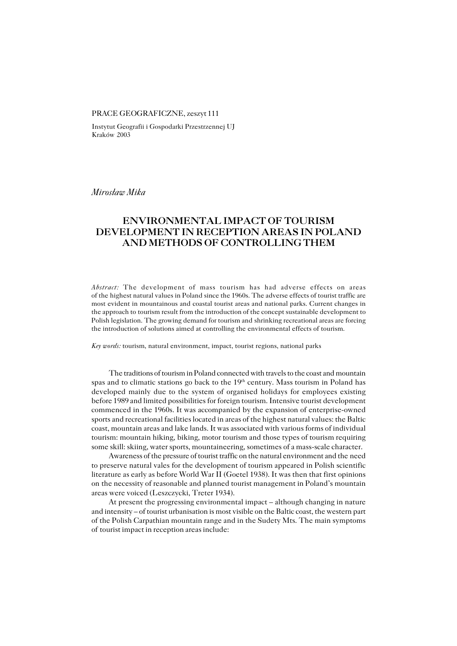## PRACE GEOGRAFICZNE, zeszyt 111

Instytut Geografii i Gospodarki Przestrzennej UJ Kraków 2003

*Mirosław Mika*

# **ENVIRONMENTAL IMPACT OF TOURISM DEVELOPMENT IN RECEPTION AREAS IN POLAND AND METHODS OF CONTROLLING THEM**

*Abstract:* The development of mass tourism has had adverse effects on areas of the highest natural values in Poland since the 1960s. The adverse effects of tourist traffic are most evident in mountainous and coastal tourist areas and national parks. Current changes in the approach to tourism result from the introduction of the concept sustainable development to Polish legislation. The growing demand for tourism and shrinking recreational areas are forcing the introduction of solutions aimed at controlling the environmental effects of tourism.

*Key words:* tourism, natural environment, impact, tourist regions, national parks

The traditions of tourism in Poland connected with travels to the coast and mountain spas and to climatic stations go back to the  $19<sup>th</sup>$  century. Mass tourism in Poland has developed mainly due to the system of organised holidays for employees existing before 1989 and limited possibilities for foreign tourism. Intensive tourist development commenced in the 1960s. It was accompanied by the expansion of enterprise−owned sports and recreational facilities located in areas of the highest natural values: the Baltic coast, mountain areas and lake lands. It was associated with various forms of individual tourism: mountain hiking, biking, motor tourism and those types of tourism requiring some skill: skiing, water sports, mountaineering, sometimes of a mass−scale character.

Awareness of the pressure of tourist traffic on the natural environment and the need to preserve natural vales for the development of tourism appeared in Polish scientific literature as early as before World War II (Goetel 1938). It was then that first opinions onthe necessity of reasonable and planned tourist management in Poland's mountain areas were voiced (Leszczycki, Treter 1934).

At present the progressing environmental impact – although changing in nature and intensity – of tourist urbanisation is most visible on the Baltic coast, the western part of the Polish Carpathian mountain range and in the Sudety Mts. The main symptoms of tourist impact in reception areas include: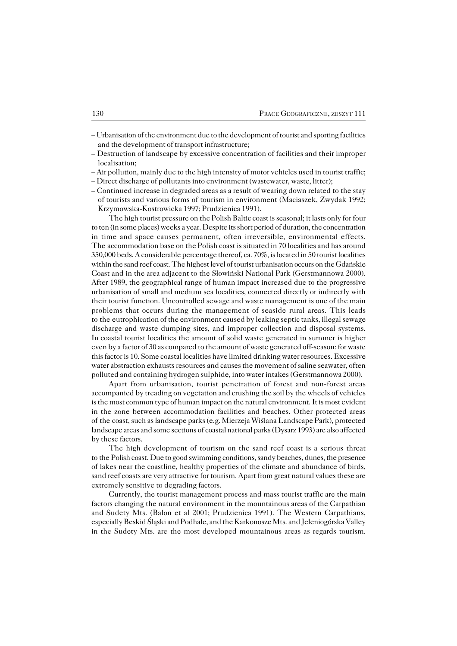- Urbanisation of the environment due to the development of tourist and sporting facilities and the development of transport infrastructure;
- Destruction of landscape by excessive concentration of facilities and their improper localisation;
- Air pollution, mainly due to the high intensity of motor vehicles used in tourist traffic;
- Direct discharge of pollutants into environment (wastewater, waste, litter);
- Continued increase in degraded areas as a result of wearing down related to the stay oftourists and various forms of tourism in environment (Maciaszek, Zwydak 1992; Krzymowska−Kostrowicka 1997; Prudzienica 1991).

The high tourist pressure on the Polish Baltic coast is seasonal; it lasts only for four to ten (in some places) weeks a year. Despite its short period of duration, the concentration in time and space causes permanent, often irreversible, environmental effects. The accommodation base on the Polish coast is situated in 70 localities and has around 350,000 beds. A considerable percentage thereof, ca. 70%, is located in 50 tourist localities within the sand reef coast. The highest level of tourist urbanisation occurs on the Gdańskie Coast and in the area adjacent to the Słowiński National Park (Gerstmannowa 2000). After 1989, the geographical range of human impact increased due to the progressive urbanisation of small and medium sea localities, connected directly or indirectly with their tourist function. Uncontrolled sewage and waste management is one of the main problems that occurs during the management of seaside rural areas. This leads to the eutrophication of the environment caused by leaking septic tanks, illegal sewage discharge and waste dumping sites, and improper collection and disposal systems. In coastal tourist localities the amount of solid waste generated in summer is higher even by a factor of 30 as compared to the amount of waste generated off−season: for waste this factor is 10. Some coastal localities have limited drinking water resources. Excessive water abstraction exhausts resources and causes the movement of saline seawater, often polluted and containing hydrogen sulphide, into water intakes (Gerstmannowa 2000).

Apart from urbanisation, tourist penetration of forest and non−forest areas accompanied by treading on vegetation and crushing the soil by the wheels of vehicles is the most common type of human impact on the natural environment. It is most evident in the zone between accommodation facilities and beaches. Other protected areas of the coast, such as landscape parks (e.g. Mierzeja Wiślana Landscape Park), protected landscape areas and some sections of coastal national parks (Dysarz 1993) are also affected by these factors.

The high development of tourism on the sand reef coast is a serious threat to the Polish coast. Due to good swimming conditions, sandy beaches, dunes, the presence of lakes near the coastline, healthy properties of the climate and abundance of birds, sand reef coasts are very attractive for tourism. Apart from great natural values these are extremely sensitive to degrading factors.

Currently, the tourist management process and mass tourist traffic are the main factors changing the natural environment in the mountainous areas of the Carpathian and Sudety Mts. (Balon et al 2001; Prudzienica 1991). The Western Carpathians, especially Beskid Śląski and Podhale, and the Karkonosze Mts. and Jeleniogórska Valley in the Sudety Mts. are the most developed mountainous areas as regards tourism.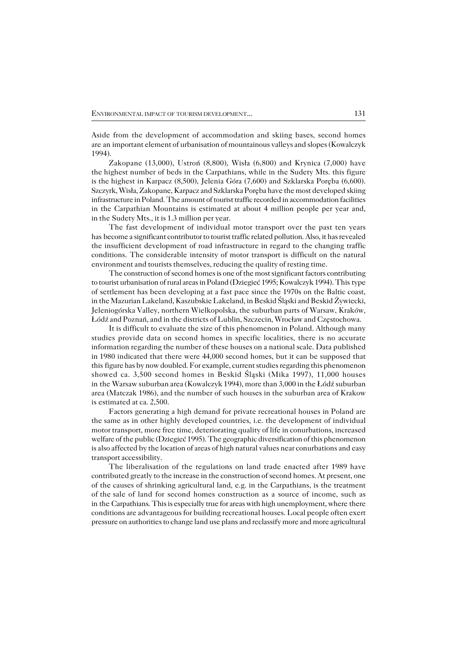Aside from the development of accommodation and skiing bases, second homes are an important element of urbanisation of mountainous valleys and slopes (Kowalczyk 1994).

Zakopane (13,000), Ustroń (8,800), Wisła (6,800) and Krynica (7,000) have the highest number of beds in the Carpathians, while in the Sudety Mts. this figure is the highest in Karpacz (8,500), Jelenia Góra (7,600) and Szklarska Poręba (6,600). Szczyrk, Wisła, Zakopane, Karpacz and Szklarska Poręba have the most developed skiing infrastructure in Poland. The amount of tourist traffic recorded in accommodation facilities in the Carpathian Mountains is estimated at about 4 million people per year and, in the Sudety Mts., it is 1.3 million per year.

The fast development of individual motor transport over the past ten years has become a significant contributor to tourist traffic related pollution. Also, it has revealed the insufficient development of road infrastructure in regard to the changing traffic conditions. The considerable intensity of motor transport is difficult on the natural environment and tourists themselves, reducing the quality of resting time.

The construction of second homes is one of the most significant factors contributing to tourist urbanisation of rural areas in Poland (Dziegieć 1995; Kowalczyk 1994). This type of settlement has been developing at a fast pace since the 1970s on the Baltic coast, in the Mazurian Lakeland, Kaszubskie Lakeland, in Beskid Śląski and Beskid Żywiecki, Jeleniogórska Valley, northern Wielkopolska, the suburban parts of Warsaw, Kraków, Łódź and Poznań, and in the districts of Lublin, Szczecin, Wrocław and Częstochowa.

It is difficult to evaluate the size of this phenomenon in Poland. Although many studies provide data on second homes in specific localities, there is no accurate information regarding the number of these houses on a national scale. Data published in1980 indicated that there were 44,000 second homes, but it can be supposed that thisfigure has by now doubled. For example, current studies regarding this phenomenon showed ca. 3,500 second homes in Beskid Śląski (Mika 1997), 11,000 houses in the Warsaw suburban area (Kowalczyk 1994), more than 3,000 in the Łódź suburban area (Matczak 1986), and the number of such houses in the suburban area of Krakow is estimated at ca. 2,500.

Factors generating a high demand for private recreational houses in Poland are the same as in other highly developed countries, i.e. the development of individual motor transport, more free time, deteriorating quality of life in conurbations, increased welfare of the public (Dziegieć 1995). The geographic diversification of this phenomenon is also affected by the location of areas of high natural values near conurbations and easy transport accessibility.

The liberalisation of the regulations on land trade enacted after 1989 have contributed greatly to the increase in the construction of second homes. At present, one of the causes of shrinking agricultural land, e.g. in the Carpathians, is the treatment of the sale of land for second homes construction as a source of income, such as in the Carpathians. This is especially true for areas with high unemployment, where there conditions are advantageous for building recreational houses. Local people often exert pressure on authorities to change land use plans and reclassify more and more agricultural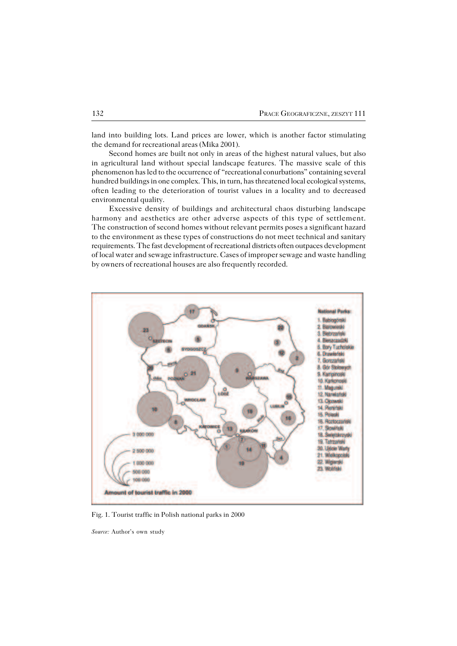land into building lots. Land prices are lower, which is another factor stimulating the demand for recreational areas (Mika 2001).

Second homes are built not only in areas of the highest natural values, but also in agricultural land without special landscape features. The massive scale of this phenomenon has led to the occurrence of "recreational conurbations" containing several hundred buildings in one complex. This, in turn, has threatened local ecological systems, often leading to the deterioration of tourist values in a locality and to decreased environmental quality.

Excessive density of buildings and architectural chaos disturbing landscape harmony and aesthetics are other adverse aspects of this type of settlement. The construction of second homes without relevant permits poses a significant hazard to the environment as these types of constructions do not meet technical and sanitary requirements. The fast development of recreational districts often outpaces development of local water and sewage infrastructure. Cases of improper sewage and waste handling by owners of recreational houses are also frequently recorded.



Fig. 1. Tourist traffic in Polish national parks in 2000

*Source:* Author's own study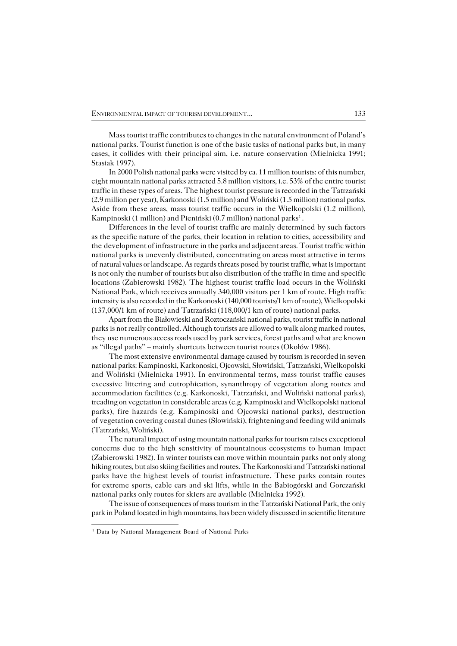Mass tourist traffic contributes to changes in the natural environment of Poland's national parks. Tourist function is one of the basic tasks of national parks but, in many cases, it collides with their principal aim, i.e. nature conservation (Mielnicka 1991; Stasiak 1997).

In 2000 Polish national parks were visited by ca. 11 million tourists: of this number, eight mountain national parks attracted 5.8 million visitors, i.e. 53% of the entire tourist traffic in these types of areas. The highest tourist pressure is recorded in the Tatrzański (2.9 million per year), Karkonoski (1.5 million) and Woliński (1.5 million) national parks. Aside from these areas, mass tourist traffic occurs in the Wielkopolski (1.2 million), Kampinoski (1 million) and Pieniński (0.7 million) national parks<sup>1</sup>.

Differences in the level of tourist traffic are mainly determined by such factors asthe specific nature of the parks, their location in relation to cities, accessibility and the development of infrastructure in the parks and adjacent areas. Tourist traffic within national parks is unevenly distributed, concentrating on areas most attractive in terms ofnatural values or landscape. As regards threats posed by tourist traffic, what is important is not only the number of tourists but also distribution of the traffic in time and specific locations (Zabierowski 1982). The highest tourist traffic load occurs in the Woliński National Park, which receives annually 340,000 visitors per 1 km of route. High traffic intensity is also recorded in the Karkonoski (140,000 tourists/1 km of route), Wielkopolski (137,000/1 km of route) and Tatrzański (118,000/1 km of route) national parks.

Apart from the Białowieski and Roztoczański national parks, tourist traffic in national parks is not really controlled. Although tourists are allowed to walk along marked routes, they use numerous access roads used by park services, forest paths and what are known as "illegal paths" – mainly shortcuts between tourist routes (Okołów 1986).

The most extensive environmental damage caused by tourism is recorded in seven national parks: Kampinoski, Karkonoski, Ojcowski, Słowiński, Tatrzański, Wielkopolski and Woliński (Mielnicka 1991). In environmental terms, mass tourist traffic causes excessive littering and eutrophication, synanthropy of vegetation along routes and accommodation facilities (e.g. Karkonoski, Tatrzański, and Woliński national parks), treading on vegetation in considerable areas (e.g. Kampinoski and Wielkopolski national parks), fire hazards (e.g. Kampinoski and Ojcowski national parks), destruction of vegetation covering coastal dunes (Słowiński), frightening and feeding wild animals (Tatrzański, Woliński).

The natural impact of using mountain national parks for tourism raises exceptional concerns due to the high sensitivity of mountainous ecosystems to human impact (Zabierowski 1982). In winter tourists can move within mountain parks not only along hiking routes, but also skiing facilities and routes. The Karkonoski and Tatrzański national parks have the highest levels of tourist infrastructure. These parks contain routes forextreme sports, cable cars and ski lifts, while in the Babiogórski and Gorczański national parks only routes for skiers are available (Mielnicka 1992).

The issue of consequences of mass tourism in the Tatrzański National Park, the only park in Poland located in high mountains, has been widely discussed in scientific literature

<sup>&</sup>lt;sup>1</sup> Data by National Management Board of National Parks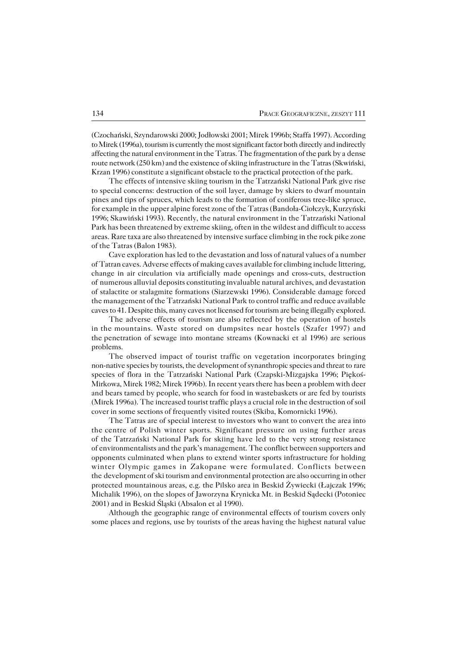(Czochański, Szyndarowski 2000; Jodłowski 2001; Mirek 1996b; Staffa 1997). According to Mirek (1996a), tourism is currently the most significant factor both directly and indirectly affecting the natural environment in the Tatras. The fragmentation of the park by a dense route network (250 km) and the existence of skiing infrastructure in the Tatras (Skwiński, Krzan 1996) constitute a significant obstacle to the practical protection of the park.

The effects of intensive skiing tourism in the Tatrzański National Park give rise tospecial concerns: destruction of the soil layer, damage by skiers to dwarf mountain pines and tips of spruces, which leads to the formation of coniferous tree−like spruce, for example in the upper alpine forest zone of the Tatras (Bandoła−Ciołczyk, Kurzyński 1996; Skawiński 1993). Recently, the natural environment in the Tatrzański National Park has been threatened by extreme skiing, often in the wildest and difficult to access areas. Rare taxa are also threatened by intensive surface climbing in the rock pike zone of the Tatras (Balon 1983).

Cave exploration has led to the devastation and loss of natural values of a number of Tatran caves. Adverse effects of making caves available for climbing include littering, change in air circulation via artificially made openings and cross−cuts, destruction ofnumerous alluvial deposits constituting invaluable natural archives, and devastation of stalactite or stalagmite formations (Siarzewski 1996). Considerable damage forced the management of the Tatrzański National Park to control traffic and reduce available caves to 41. Despite this, many caves not licensed for tourism are being illegally explored.

The adverse effects of tourism are also reflected by the operation of hostels in the mountains. Waste stored on dumpsites near hostels (Szafer 1997) and the penetration of sewage into montane streams (Kownacki et al 1996) are serious problems.

The observed impact of tourist traffic on vegetation incorporates bringing non−native species by tourists, the development of synanthropic species and threat torare species of flora in the Tatrzański National Park (Czapski−Mizgajska 1996; Piękoś− Mirkowa, Mirek 1982; Mirek 1996b). In recent years there has been a problem with deer and bears tamed by people, who search for food in wastebaskets or are fed by tourists (Mirek 1996a). The increased tourist traffic plays a crucial role in the destruction of soil cover in some sections of frequently visited routes (Skiba, Komornicki 1996).

The Tatras are of special interest to investors who want to convert the area into the centre of Polish winter sports. Significant pressure on using further areas of theTatrzański National Park for skiing have led to the very strong resistance of environmentalists and the park's management. The conflict between supporters and opponents culminated when plans to extend winter sports infrastructure for holding winter Olympic games in Zakopane were formulated. Conflicts between the development of ski tourism and environmental protection are also occurring in other protected mountainous areas, e.g. the Pilsko area in Beskid Żywiecki (Łajczak 1996; Michalik 1996), on the slopes of Jaworzyna Krynicka Mt. in Beskid Sądecki (Potoniec 2001) and in Beskid Śląski (Absalon et al 1990).

Although the geographic range of environmental effects of tourism covers only some places and regions, use by tourists of the areas having the highest natural value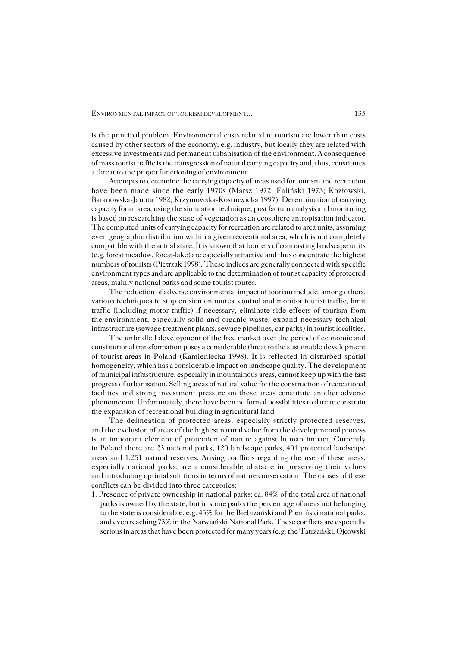isthe principal problem. Environmental costs related to tourism are lower than costs caused by other sectors of the economy, e.g. industry, but locally they are related with excessive investments and permanent urbanisation of the environment. A consequence of mass tourist traffic is the transgression of natural carrying capacity and, thus, constitutes a threat to the proper functioning of environment.

Attempts to determine the carrying capacity of areas used for tourism and recreation have been made since the early 1970s (Marsz 1972, Faliński 1973; Kozłowski, Baranowska−Janota 1982; Krzymowska−Kostrowicka 1997). Determination of carrying capacity for an area, using the simulation technique, post factum analysis and monitoring is based on researching the state of vegetation as an ecosphere antropisation indicator. The computed units of carrying capacity for recreation are related to area units, assuming even geographic distribution within a given recreational area, which is not completely compatible with the actual state. It is known that borders of contrasting landscape units (e.g. forest meadow, forest−lake) are especially attractive and thus concentrate the highest numbers of tourists (Pietrzak 1998). These indices are generally connected with specific environment types and are applicable to the determination of tourist capacity of protected areas, mainly national parks and some tourist routes.

The reduction of adverse environmental impact of tourism include, among others, various techniques to stop erosion on routes, control and monitor tourist traffic, limit traffic (including motor traffic) if necessary, eliminate side effects of tourism from the environment, especially solid and organic waste, expand necessary technical infrastructure (sewage treatment plants, sewage pipelines, car parks) in tourist localities.

The unbridled development of the free market over the period of economic and constitutional transformation poses a considerable threat to the sustainable development of tourist areas in Poland (Kamieniecka 1998). It is reflected in disturbed spatial homogeneity, which has a considerable impact on landscape quality. The development of municipal infrastructure, especially in mountainous areas, cannot keep up with thefast progress of urbanisation. Selling areas of natural value for the construction of recreational facilities and strong investment pressure on these areas constitute another adverse phenomenon. Unfortunately, there have been no formal possibilities to date to constrain the expansion of recreational building in agricultural land.

The delineation of protected areas, especially strictly protected reserves, and the exclusion of areas of the highest natural value from the developmental process is animportant element of protection of nature against human impact. Currently in Poland there are 23 national parks, 120 landscape parks, 401 protected landscape areas and 1,251 natural reserves. Arising conflicts regarding the use of these areas, especially national parks, are a considerable obstacle in preserving their values and introducing optimal solutions in terms of nature conservation. The causes of these conflicts can be divided into three categories:

1. Presence of private ownership in national parks: ca. 84% of the total area of national parks is owned by the state, but in some parks the percentage of areas not belonging to the state is considerable, e.g. 45% for the Biebrzański and Pieniński national parks, and even reaching 73% in the Narwiański National Park. These conflicts are especially serious in areas that have been protected for many years (e.g. the Tatrzański, Ojcowski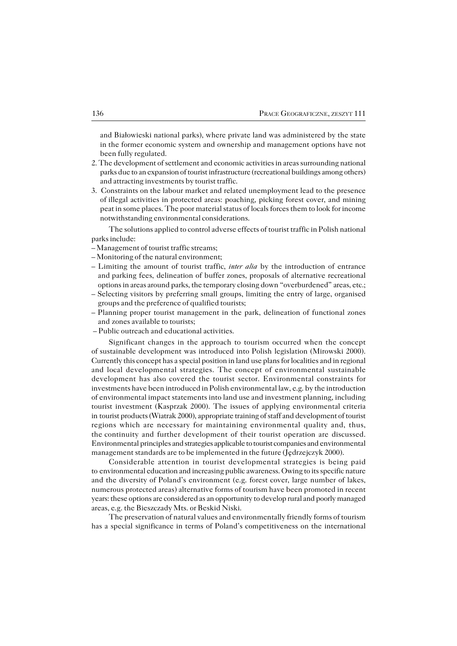and Białowieski national parks), where private land was administered by the state in the former economic system and ownership and management options have not been fully regulated.

- 2. The development of settlement and economic activities in areas surrounding national parks due to an expansion of tourist infrastructure (recreational buildings among others) and attracting investments by tourist traffic.
- 3. Constraints on the labour market and related unemployment lead to the presence ofillegal activities in protected areas: poaching, picking forest cover, and mining peat in some places. The poor material status of locals forces them to look for income notwithstanding environmental considerations.

The solutions applied to control adverse effects of tourist traffic in Polish national parks include:

- Management of tourist traffic streams;
- Monitoring of the natural environment;
- Limiting the amount of tourist traffic, *inter alia* by the introduction of entrance and parking fees, delineation of buffer zones, proposals of alternative recreational options in areas around parks, the temporary closing down "overburdened" areas, etc.;
- Selecting visitors by preferring small groups, limiting the entry of large, organised groups and the preference of qualified tourists;
- Planning proper tourist management in the park, delineation of functional zones and zones available to tourists:
- Public outreach and educational activities.

Significant changes in the approach to tourism occurred when the concept ofsustainable development was introduced into Polish legislation (Mirowski 2000). Currently this concept has a special position in land use plans for localities and in regional and local developmental strategies. The concept of environmental sustainable development has also covered the tourist sector. Environmental constraints for investments have been introduced in Polish environmental law, e.g. by the introduction of environmental impact statements into land use and investment planning, including tourist investment (Kasprzak 2000). The issues of applying environmental criteria in tourist products (Wiatrak 2000), appropriate training of staff and development of tourist regions which are necessary for maintaining environmental quality and, thus, the continuity and further development of their tourist operation are discussed. Environmental principles and strategies applicable to tourist companies and environmental management standards are to be implemented in the future (Jedrzejczyk 2000).

Considerable attention in tourist developmental strategies is being paid to environmental education and increasing public awareness. Owing to its specific nature and the diversity of Poland's environment (e.g. forest cover, large number of lakes, numerous protected areas) alternative forms of tourism have been promoted in recent years: these options are considered as an opportunity to develop rural and poorly managed areas, e.g. the Bieszczady Mts. or Beskid Niski.

The preservation of natural values and environmentally friendly forms of tourism has a special significance in terms of Poland's competitiveness on the international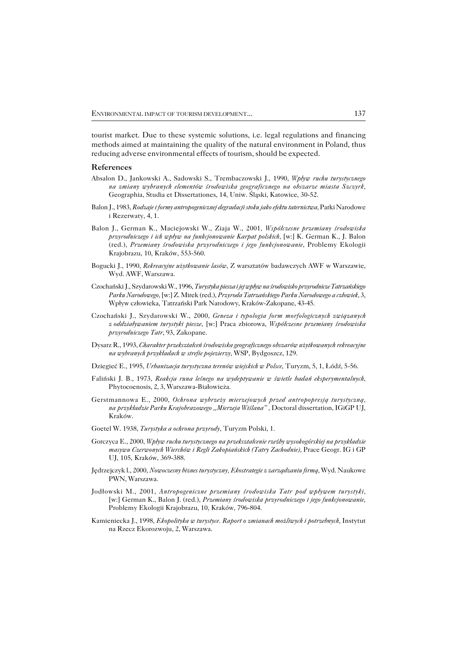tourist market. Due to these systemic solutions, i.e. legal regulations and financing methods aimed at maintaining the quality of the natural environment in Poland, thus reducing adverse environmental effects of tourism, should be expected.

#### **References**

- Absalon D., Jankowski A., Sadowski S., Trembaczowski J., 1990, *Wpływ ruchu turystycznego na zmiany wybranych elementów środowiska geograficznego na obszarze miasta Szczyrk,* Geographia, Studia et Dissertationes, 14, Uniw. Śląski, Katowice, 30−52.
- Balon J., 1983, *Rodzaje i formy antropogenicznej degradacji stoku jako efektu taternictwa*, Parki Narodowe i Rezerwaty, 4, 1.
- Balon J., German K., Maciejowski W., Ziaja W., 2001, *Współczesne przemiany środowiska przyrodniczego i ich wpływ na funkcjonowanie Karpat polskich,* [w:] K. German K., J. Balon (red.), *Przemiany środowiska przyrodniczego i jego funkcjonowanie*, Problemy Ekologii Krajobrazu, 10, Kraków, 553−560.
- Bogucki J., 1990, *Rekreacyjne użytkowanie lasów*, Z warsztatów badawczych AWF w Warszawie, Wyd. AWF, Warszawa.
- Czochański J., Szydarowski W., 1996, *Turystyka piesza i jej wpływ na środowisko przyrodnicze Tatrzańskiego Parku Narodowego,* [w:] Z. Mirek (red.), *Przyroda Tatrzańskiego Parku Narodowego a człowiek*, 3, Wpływ człowieka, Tatrzański Park Narodowy, Kraków−Zakopane, 43−45.
- Czochański J., Szydarowski W., 2000, *Geneza i typologia form morfologicznych związanych zoddziaływaniem turystyki piesze*, [w:] Praca zbiorowa, *Współczesne przemiany środowiska przyrodniczego Tatr*, 93, Zakopane.
- Dysarz R., 1993, *Charakter przekształceń środowiska geograficznego obszarów użytkowanych rekreacyjne na wybranych przykładach w strefie pojezierzy*, WSP, Bydgoszcz, 129.
- Dziegieć E., 1995, *Urbanizacja turystyczna terenów wiejskich w Polsce*, Turyzm, 5, 1, Łódź, 5−56.
- Faliński J. B., 1973, *Reakcja runa leśnego na wydeptywanie w świetle badań eksperymentalnych*, Phytocoenosis, 2, 3, Warszawa−Białowieża.
- Gerstmannowa E., 2000, *Ochrona wybrzeży mierzejowych przed antropopresją turystyczną, naprzykładzie Parku Krajobrazowego "Mierzeja Wiślana"* , Doctoral dissertation, IGiGP UJ, Kraków.
- Goetel W. 1938, *Turystyka a ochrona przyrody*, Turyzm Polski, 1.
- Gorczyca E., 2000, *Wpływ ruchu turystycznego na przekształcenie rzeźby wysokogórskiej na przykładzie masywu Czerwonych Wierchów i Regli Zakopiańskich (Tatry Zachodnie),* Prace Geogr. IG i GP UJ, 105, Kraków, 369−388.
- Jędrzejczyk l., 2000, *Nowoczesny biznes turystyczny, Ekostrategie z zarządzaniu firmą*, Wyd. Naukowe PWN, Warszawa.
- Jodłowski M., 2001, *Antropogeniczne przemiany środowiska Tatr pod wpływem turystyki,* [w:] German K., Balon J. (red.), *Przemiany środowiska przyrodniczego i jego funkcjonowanie*, Problemy Ekologii Krajobrazu, 10, Kraków, 796−804.
- Kamieniecka J., 1998, *Ekopolityka w turystyce. Raport o zmianach możliwych i potrzebnych,* Instytut na Rzecz Ekorozwoju, 2, Warszawa.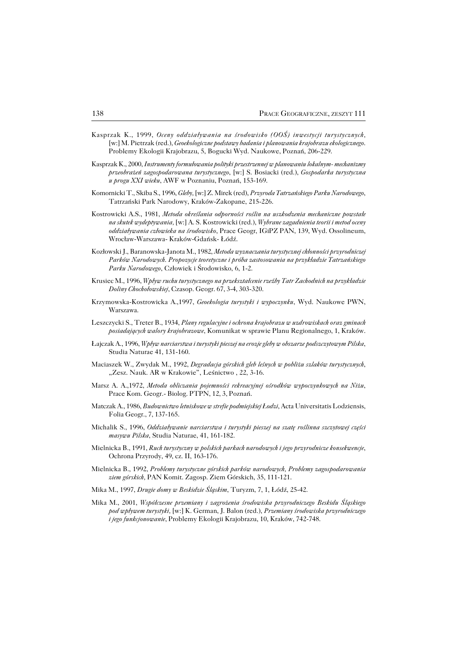- Kasprzak K., 1999, *Oceny oddziaływania na środowisko (OOŚ) inwestycji turystycznych,* [w:] M. Pietrzak (red.), *Geoekologiczne podstawy badania i planowania krajobrazu ekologicznego*. Problemy Ekologii Krajobrazu, 5, Bogucki Wyd. Naukowe, Poznań, 206−229.
- Kasprzak K., 2000, *Instrumenty formułowania polityki przestrzennej w planowaniu lokalnym− mechanizmy przeobrażeń zagospodarowana turystycznego*, [w:] S. Bosiacki (red.), *Gospodarka turystyczna u progu XXI wieku*, AWF w Poznaniu, Poznań, 153−169.
- Komornicki T., Skiba S., 1996, *Gleby,* [w:] Z. Mirek (red), *Przyroda Tatrzańskiego Parku Narodowego*, Tatrzański Park Narodowy, Kraków−Zakopane, 215−226.
- Kostrowicki A.S., 1981, *Metoda określania odporności roślin na uszkodzenia mechaniczne powstałe na skutek wydeptywania,* [w:] A. S. Kostrowicki (red.), *Wybrane zagadnienia teorii i metod oceny oddziaływania człowieka na środowisko*, Prace Geogr, IGiPZ PAN, 139, Wyd. Ossolineum, Wrocław−Warszawa− Kraków−Gdańsk− Łódź.
- Kozłowski J., Baranowska−Janota M., 1982, *Metoda wyznaczania turystycznej chłonności przyrodniczej Parków Narodowych. Propozycje teoretyczne i próba zastosowania na przykładzie Tatrzańskiego Parku Narodowego*, Człowiek i Środowisko, 6, 1−2.
- Krusiec M., 1996, *Wpływ ruchu turystycznego na przekształcenie rzeźby Tatr Zachodnich na przykładzie Doliny Chochołowskiej*, Czasop. Geogr. 67, 3−4, 303−320.
- Krzymowska−Kostrowicka A.,1997, *Geoekologia turystyki i wypoczynku*, Wyd. Naukowe PWN, Warszawa.
- Leszczycki S., Treter B., 1934, *Plany regulacyjne i ochrona krajobrazu w uzdrowiskach oraz gminach posiadających walory krajobrazowe*, Komunikat w sprawie Planu Regionalnego, 1, Kraków.
- Łajczak A., 1996, *Wpływ narciarstwa i turystyki pieszej na erozje gleby w obszarze podszczytowym Pilska*, Studia Naturae 41, 131−160.
- Maciaszek W., Zwydak M., 1992, *Degradacja górskich gleb leśnych w pobliżu szlaków turystycznych*, "Zesz. Nauk. AR w Krakowie", Leśnictwo, 22, 3-16.
- Marsz A. A.,1972, *Metoda obliczania pojemności rekreacyjnej ośrodków wypoczynkowych na Niżu*, Prace Kom. Geogr.− Biolog. PTPN, 12, 3, Poznań.
- Matczak A., 1986, *Budownictwo letniskowe w strefie podmiejskiej Łodzi*, Acta Universitatis Lodziensis, Folia Geogr., 7, 137−165.
- Michalik S., 1996, *Oddziaływanie narciarstwa i turystyki pieszej na szatę roślinna szczytowej części masywu Pilska*, Studia Naturae, 41, 161−182.
- Mielnicka B., 1991, *Ruch turystyczny w polskich parkach narodowych i jego przyrodnicze konsekwencje*, Ochrona Przyrody, 49, cz. II, 163−176.
- Mielnicka B., 1992, *Problemy turystyczne górskich parków narodowych, Problemy zagospodarowania ziem górskich,* PAN Komit. Zagosp. Ziem Górskich, 35, 111−121.
- Mika M., 1997, *Drugie domy w Beskidzie Śląskim*, Turyzm, 7, 1, Łódź, 25−42.
- Mika M., 2001, *Współczesne przemiany i zagrożenia środowiska przyrodniczego Beskidu Śląskiego pod wpływem turystyki,* [w:] K. German, J. Balon (red.), *Przemiany środowiska przyrodniczego i jego funkcjonowanie*, Problemy Ekologii Krajobrazu, 10, Kraków, 742−748.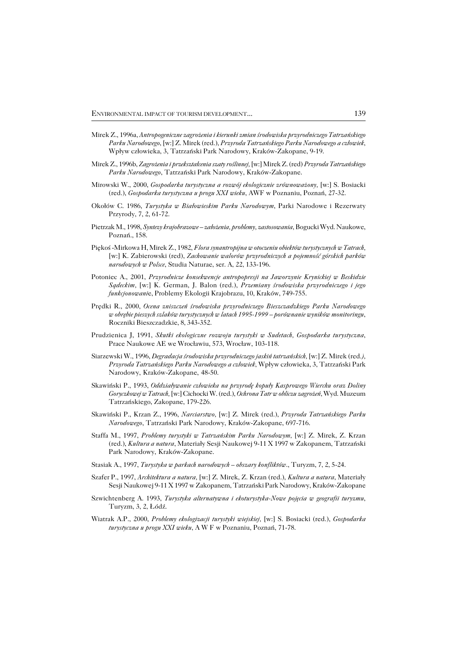- Mirek Z., 1996a, *Antropogeniczne zagrożenia i kierunki zmian środowiska przyrodniczego Tatrzańskiego Parku Narodowego*, [w:] Z. Mirek (red.), *Przyroda Tatrzańskiego Parku Narodowego a człowiek*, Wpływ człowieka, 3, Tatrzański Park Narodowy, Kraków−Zakopane, 9−19.
- Mirek Z., 1996b, *Zagrożenia i przekształcenia szaty roślinnej,* [w:] Mirek Z. (red) *Przyroda Tatrzańskiego Parku Narodowego*, Tatrzański Park Narodowy, Kraków−Zakopane.
- Mirowski W., 2000, *Gospodarka turystyczna a rozwój ekologicznie zrównoważony,* [w:] S. Bosiacki (red.), *Gospodarka turystyczna u progu XXI wieku*, AWF w Poznaniu, Poznań, 27−32.
- Okołów C. 1986, *Turystyka w Białowieskim Parku Narodowym*, Parki Narodowe i Rezerwaty Przyrody, 7, 2, 61−72.
- Pietrzak M., 1998, *Syntezy krajobrazowe założenia, problemy, zastosowania*, Bogucki Wyd. Naukowe, Poznań., 158.
- Piękoś −Mirkowa H, Mirek Z., 1982, *Flora synantropijna w otoczeniu obiektów turystycznych w Tatrach,* [w:] K. Zabierowski (red), *Zachowanie walorów przyrodniczych a pojemność górskich parków narodowych w Polsce*, Studia Naturae, ser. A, 22, 133−196.
- Potoniec A., 2001, *Przyrodnicze konsekwencje antropopresji na Jaworzynie Krynickiej w Beskidzie Sądeckim,* [w:] K. German, J. Balon (red.), *Przemiany środowiska przyrodniczego i jego funkcjonowani*e, Problemy Ekologii Krajobrazu, 10, Kraków, 749−755.
- Prędki R., 2000, *Ocena zniszczeń środowiska przyrodniczego Bieszczadzkiego Parku Narodowego w obrębie pieszych szlaków turystycznych w latach 1995−1999 – porównanie wyników monitoringu*, Roczniki Bieszczadzkie, 8, 343−352.
- Prudzienica J, 1991, *Skutki ekologiczne rozwoju turystyki w Sudetach, Gospodarka turystyczna*, Prace Naukowe AE we Wrocławiu, 573, Wrocław, 103−118.
- Siarzewski W., 1996, *Degradacja środowiska przyrodniczego jaskiń tatrzańskich,* [w:] Z. Mirek (red*.), Przyroda Tatrzańskiego Parku Narodowego a człowiek*, Wpływ człowieka, 3, Tatrzański Park Narodowy, Kraków−Zakopane, 48−50.
- Skawiński P., 1993, *Oddziaływanie człowieka na przyrodę kopuły Kasprowego Wierchu oraz Doliny Goryczkowej w Tatrach,* [w:] Cichocki W. (red.), *Ochrona Tatr w obliczu zagrożeń*, Wyd. Muzeum Tatrzańskiego, Zakopane, 179−226.
- Skawiński P., Krzan Z., 1996, *Narciarstwo,* [w:] Z. Mirek (red.), *Przyroda Tatrzańskiego Parku Narodowego*, Tatrzański Park Narodowy, Kraków−Zakopane, 697−716.
- Staffa M., 1997, *Problemy turystyki w Tatrzańskim Parku Narodowym,* [w:] Z. Mirek, Z. Krzan (red.), *Kultura a natura*, Materiały Sesji Naukowej 9−11 X 1997 w Zakopanem, Tatrzański Park Narodowy, Kraków−Zakopane.
- Stasiak A., 1997, *Turystyka w parkach narodowych obszary konfliktów*., Turyzm, 7, 2, 5−24.
- Szafer P., 1997, *Architektura a natura,* [w:] Z. Mirek, Z. Krzan (red.), *Kultura a natura*, Materiały Sesji Naukowej 9−11 X 1997 w Zakopanem, Tatrzański Park Narodowy, Kraków−Zakopane
- Szwichtenberg A. 1993, *Turystyka alternatywna i ekoturystyka−Nowe pojęcia w geografii turyzmu*, Turyzm, 3, 2, Łódź.
- Wiatrak A.P., 2000, *Problemy ekologizacji turystyki wiejskiej,* [w:] S. Bosiacki (red.), *Gospodarka turystyczna u progu XXI wieku*, A W F w Poznaniu, Poznań, 71−78.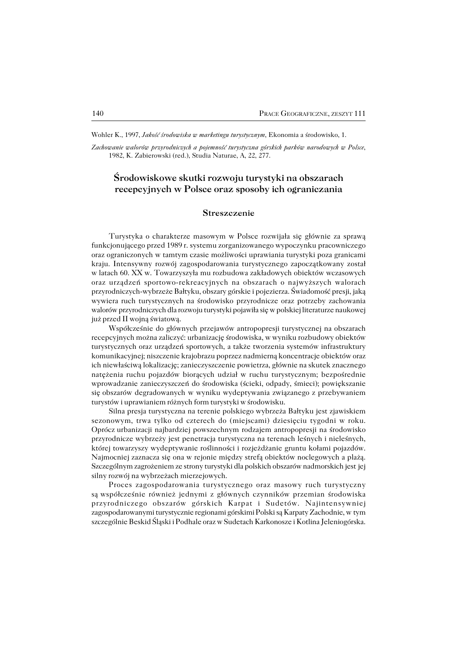Wohler K., 1997, *Jakość środowiska w marketingu turystycznym*, Ekonomia a środowisko, 1.

*Zachowanie walorów przyrodniczych a pojemność turystyczna górskich parków narodowych w Polsce*, 1982, K. Zabierowski (red.), Studia Naturae, A, 22, 277.

## **Środowiskowe skutki rozwoju turystyki na obszarach recepcyjnych w Polsce oraz sposoby ich ograniczania**

### **Streszczenie**

Turystyka o charakterze masowym w Polsce rozwijała się głównie za sprawą funkcjonującego przed 1989 r. systemu zorganizowanego wypoczynku pracowniczego oraz ograniczonych w tamtym czasie możliwości uprawiania turystyki poza granicami kraju. Intensywny rozwój zagospodarowania turystycznego zapoczątkowany został wlatach 60. XX w. Towarzyszyła mu rozbudowa zakładowych obiektów wczasowych oraz urządzeń sportowo−rekreacyjnych na obszarach o najwyższych walorach przyrodniczych−wybrzeże Bałtyku, obszary górskie i pojezierza. Świadomość presji, jaką wywiera ruch turystycznych na środowisko przyrodnicze oraz potrzeby zachowania walorów przyrodniczych dla rozwoju turystyki pojawiła się w polskiej literaturze naukowej już przed II wojną światową.

Współcześnie do głównych przejawów antropopresji turystycznej na obszarach recepcyjnych można zaliczyć: urbanizację środowiska, w wyniku rozbudowy obiektów turystycznych oraz urządzeń sportowych, a także tworzenia systemów infrastruktury komunikacyjnej; niszczenie krajobrazu poprzez nadmierną koncentracje obiektów oraz ich niewłaściwą lokalizację; zanieczyszczenie powietrza, głównie na skutek znacznego natężenia ruchu pojazdów biorących udział w ruchu turystycznym; bezpośrednie wprowadzanie zanieczyszczeń do środowiska (ścieki, odpady, śmieci); powiększanie się obszarów degradowanych w wyniku wydeptywania związanego z przebywaniem turystów i uprawianiem różnych form turystyki w środowisku.

Silna presja turystyczna na terenie polskiego wybrzeża Bałtyku jest zjawiskiem sezonowym, trwa tylko od czterech do (miejscami) dziesięciu tygodni w roku. Opróczurbanizacji najbardziej powszechnym rodzajem antropopresji na środowisko przyrodnicze wybrzeży jest penetracja turystyczna na terenach leśnych i nieleśnych, której towarzyszy wydeptywanie roślinności i rozjeżdżanie gruntu kołami pojazdów. Najmocniej zaznacza się ona w rejonie między strefą obiektów noclegowych a plażą. Szczególnym zagrożeniem ze strony turystyki dla polskich obszarów nadmorskich jestjej silny rozwój na wybrzeżach mierzejowych.

Proces zagospodarowania turystycznego oraz masowy ruch turystyczny sąwspółcześnie również jednymi z głównych czynników przemian środowiska przyrodniczego obszarów górskich Karpat i Sudetów. Najintensywniej zagospodarowanymi turystycznie regionami górskimi Polski są Karpaty Zachodnie, wtym szczególnie Beskid Śląski i Podhale oraz w Sudetach Karkonosze i Kotlina Jeleniogórska.